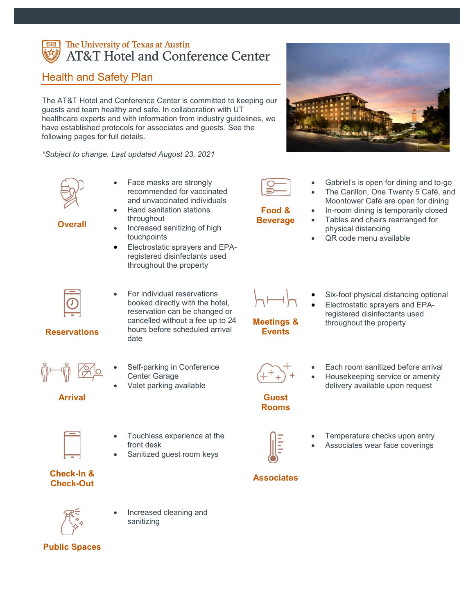#### The University of Texas at Austin **AT&T Hotel and Conference Center**

#### Health and Safety Plan

The AT&T Hotel and Conference Center is committed to keeping our guests and team healthy and safe. In collaboration with UT healthcare experts and with information from industry guidelines, we have established protocols for associates and guests. See the following pages for full details.

*\*Subject to change. Last updated August 23, 2021*



- Face masks are strongly recommended for vaccinated and unvaccinated individuals • Hand sanitation stations
- **Overall**
	- throughout • Increased sanitizing of high touchpoints
	- Electrostatic sprayers and EPAregistered disinfectants used throughout the property
- 
- Gabriel's is open for dining and to-go
- The Carillon, One Twenty 5 Café, and Moontower Café are open for dining
- In-room dining is temporarily closed
- Tables and chairs rearranged for physical distancing
- QR code menu available



- For individual reservations booked directly with the hotel, reservation can be changed or cancelled without a fee up to 24 hours before scheduled arrival date
- Self-parking in Conference Center Garage
- Valet parking available

#### **Arrival**



- Touchless experience at the front desk
- Sanitized guest room keys

#### **Check-In & Check-Out**



**Public Spaces**

• Increased cleaning and sanitizing

**Reservations**

- 
- 

#### **Guest Rooms**

- 
- Each room sanitized before arrival
- Housekeeping service or amenity delivery available upon request



- Temperature checks upon entry
- Associates wear face coverings

#### **Associates**







**Food & Beverage**

- **Meetings &** 
	- **Events**
- 
- registered disinfectants used
- Six-foot physical distancing optional • Electrostatic sprayers and EPA-

throughout the property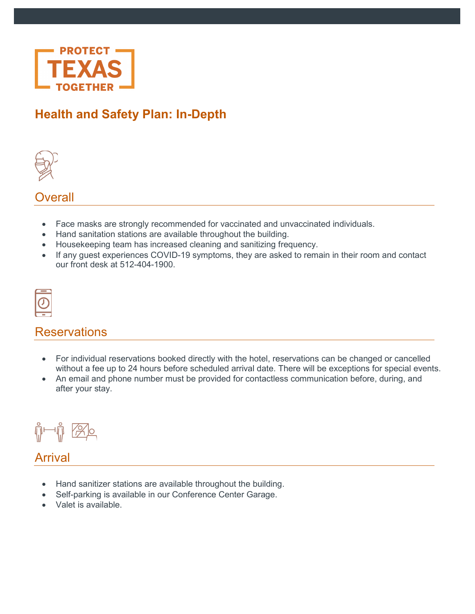

# **Health and Safety Plan: In-Depth**



**Overall** 

- Face masks are strongly recommended for vaccinated and unvaccinated individuals.
- Hand sanitation stations are available throughout the building.
- Housekeeping team has increased cleaning and sanitizing frequency.
- If any guest experiences COVID-19 symptoms, they are asked to remain in their room and contact our front desk at 512-404-1900.

# **Reservations**

- For individual reservations booked directly with the hotel, reservations can be changed or cancelled without a fee up to 24 hours before scheduled arrival date. There will be exceptions for special events.
- An email and phone number must be provided for contactless communication before, during, and after your stay.



## Arrival

- Hand sanitizer stations are available throughout the building.
- Self-parking is available in our Conference Center Garage.
- Valet is available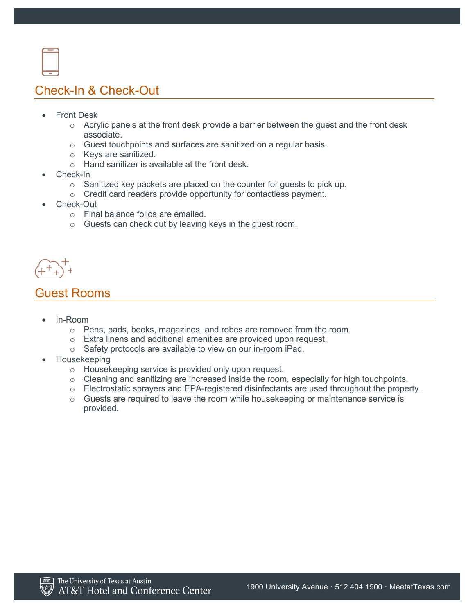

# Check-In & Check-Out

- **Front Desk** 
	- $\circ$  Acrylic panels at the front desk provide a barrier between the quest and the front desk associate.
	- o Guest touchpoints and surfaces are sanitized on a regular basis.
	- o Keys are sanitized.
	- $\circ$  Hand sanitizer is available at the front desk.
- Check-In
	- o Sanitized key packets are placed on the counter for guests to pick up.
	- o Credit card readers provide opportunity for contactless payment.
- Check-Out
	- o Final balance folios are emailed.
	- o Guests can check out by leaving keys in the guest room.

#### Guest Rooms

- In-Room
	- $\circ$  Pens, pads, books, magazines, and robes are removed from the room.
	- o Extra linens and additional amenities are provided upon request.
	- o Safety protocols are available to view on our in-room iPad.
- Housekeeping
	- o Housekeeping service is provided only upon request.
	- o Cleaning and sanitizing are increased inside the room, especially for high touchpoints.
	- $\circ$  Electrostatic sprayers and EPA-registered disinfectants are used throughout the property.
	- $\circ$  Guests are required to leave the room while housekeeping or maintenance service is provided.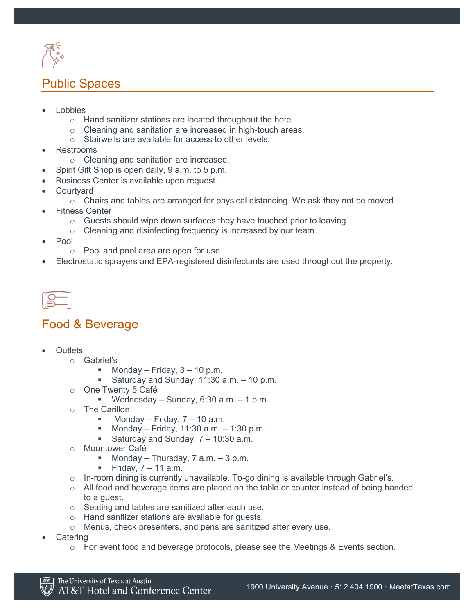

# Public Spaces

- **Lobbies** 
	- o Hand sanitizer stations are located throughout the hotel.
	- o Cleaning and sanitation are increased in high-touch areas.
	- o Stairwells are available for access to other levels.
- Restrooms
	- o Cleaning and sanitation are increased.
- Spirit Gift Shop is open daily, 9 a.m. to 5 p.m.
- Business Center is available upon request.
- **Courtyard** 
	- $\circ$  Chairs and tables are arranged for physical distancing. We ask they not be moved.
- Fitness Center
	- $\circ$  Guests should wipe down surfaces they have touched prior to leaving.
	- o Cleaning and disinfecting frequency is increased by our team.
- Pool
	- o Pool and pool area are open for use.
- Electrostatic sprayers and EPA-registered disinfectants are used throughout the property.

#### Food & Beverage

- **Outlets** 
	- o Gabriel's
		- Monday Friday,  $3 10$  p.m.
		- Saturday and Sunday,  $11:30$  a.m.  $-10$  p.m.
	- o One Twenty 5 Café
		- Wednesday Sunday, 6:30 a.m.  $-1$  p.m.
	- o The Carillon
		- Monday Friday,  $7 10$  a.m.
		- **Monday Friday, 11:30 a.m. 1:30 p.m.**
		- Saturday and Sunday, 7 10:30 a.m.
	- o Moontower Café<br>- Monday -
		- Monday Thursday, 7 a.m. 3 p.m.
		- Friday,  $7 11$  a.m.
	- $\circ$  In-room dining is currently unavailable. To-go dining is available through Gabriel's.
	- o All food and beverage items are placed on the table or counter instead of being handed to a guest.
	- o Seating and tables are sanitized after each use.
	- o Hand sanitizer stations are available for guests.
	- o Menus, check presenters, and pens are sanitized after every use.
- **Catering** 
	- $\circ$  For event food and beverage protocols, please see the Meetings & Events section.